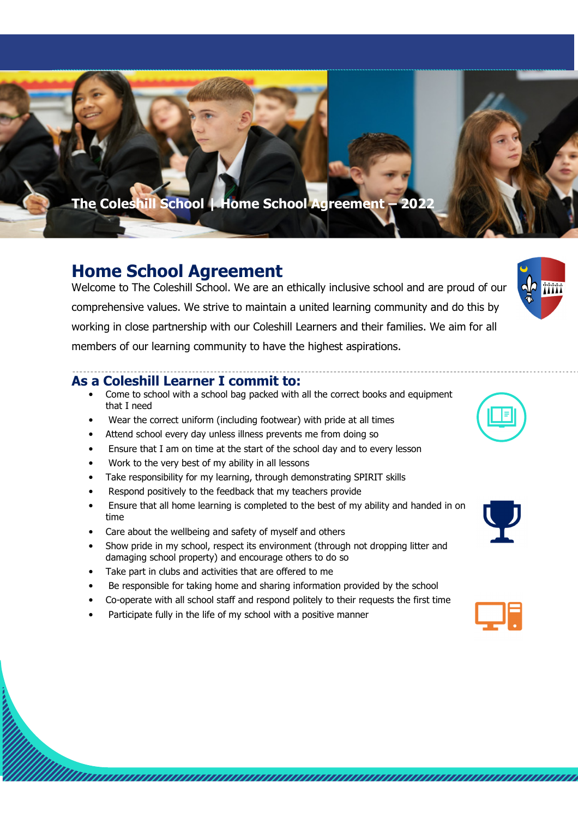**The Coleshill School | Home School Agreement – 2022**

## **Home School Agreement**

Welcome to The Coleshill School. We are an ethically inclusive school and are proud of our comprehensive values. We strive to maintain a united learning community and do this by working in close partnership with our Coleshill Learners and their families. We aim for all members of our learning community to have the highest aspirations.

## **As a Coleshill Learner I commit to:**

- Come to school with a school bag packed with all the correct books and equipment that I need
- Wear the correct uniform (including footwear) with pride at all times
- Attend school every day unless illness prevents me from doing so
- Ensure that I am on time at the start of the school day and to every lesson
- Work to the very best of my ability in all lessons
- Take responsibility for my learning, through demonstrating SPIRIT skills
- Respond positively to the feedback that my teachers provide
- Ensure that all home learning is completed to the best of my ability and handed in on time
- Care about the wellbeing and safety of myself and others
- Show pride in my school, respect its environment (through not dropping litter and damaging school property) and encourage others to do so
- Take part in clubs and activities that are offered to me
- Be responsible for taking home and sharing information provided by the school
- Co-operate with all school staff and respond politely to their requests the first time

<u> Kummunummunummunummunummunummunummun</u>

• Participate fully in the life of my school with a positive manner



 $\sqrt{2}$ 



| <b>Service Service</b> |
|------------------------|
| <b>Service Service</b> |
|                        |
|                        |